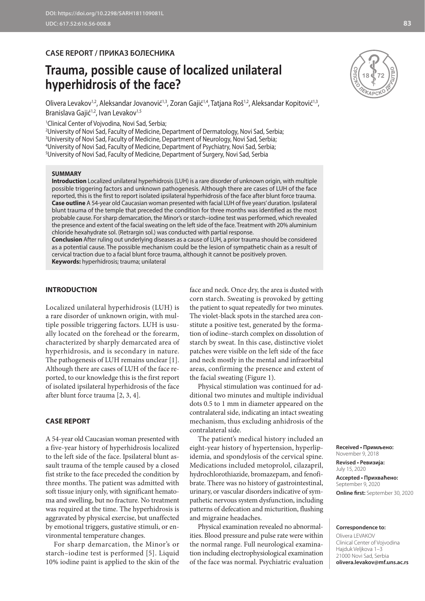# **CASE REPORT / ПРИКАЗ БОЛЕСНИКА**

# **Trauma, possible cause of localized unilateral hyperhidrosis of the face?**

Olivera Levakov<sup>1,2</sup>, Aleksandar Jovanović<sup>1,3</sup>, Zoran Gajić<sup>1,4</sup>, Tatjana Roš<sup>1,2</sup>, Aleksandar Kopitović<sup>1,3</sup>, Branislava Gajić<sup>1,2</sup>, Ivan Levakov<sup>1,5</sup>

1 Clinical Center of Vojvodina, Novi Sad, Serbia;

 University of Novi Sad, Faculty of Medicine, Department of Dermatology, Novi Sad, Serbia; University of Novi Sad, Faculty of Medicine, Department of Neurology, Novi Sad, Serbia; University of Novi Sad, Faculty of Medicine, Department of Psychiatry, Novi Sad, Serbia; University of Novi Sad, Faculty of Medicine, Department of Surgery, Novi Sad, Serbia

#### **SUMMARY**

**Introduction** Localized unilateral hyperhidrosis (LUH) is a rare disorder of unknown origin, with multiple possible triggering factors and unknown pathogenesis. Although there are cases of LUH of the face reported, this is the first to report isolated ipsilateral hyperhidrosis of the face after blunt force trauma. **Case outline** A 54-year old Caucasian woman presented with facial LUH of five years' duration. Ipsilateral blunt trauma of the temple that preceded the condition for three months was identified as the most probable cause. For sharp demarcation, the Minor's or starch–iodine test was performed, which revealed the presence and extent of the facial sweating on the left side of the face. Treatment with 20% aluminium chloride hexahydrate sol. (Retrargin sol.) was conducted with partial response.

**Conclusion** After ruling out underlying diseases as a cause of LUH, a prior trauma should be considered as a potential cause. The possible mechanism could be the lesion of sympathetic chain as a result of cervical traction due to a facial blunt force trauma, although it cannot be positively proven. **Keywords:** hyperhidrosis; trauma; unilateral

## **INTRODUCTION**

Localized unilateral hyperhidrosis (LUH) is a rare disorder of unknown origin, with multiple possible triggering factors. LUH is usually located on the forehead or the forearm, characterized by sharply demarcated area of hyperhidrosis, and is secondary in nature. The pathogenesis of LUH remains unclear [1]. Although there are cases of LUH of the face reported, to our knowledge this is the first report of isolated ipsilateral hyperhidrosis of the face after blunt force trauma [2, 3, 4].

#### **CASE REPORT**

A 54-year old Caucasian woman presented with a five-year history of hyperhidrosis localized to the left side of the face. Ipsilateral blunt assault trauma of the temple caused by a closed fist strike to the face preceded the condition by three months. The patient was admitted with soft tissue injury only, with significant hematoma and swelling, but no fracture. No treatment was required at the time. The hyperhidrosis is aggravated by physical exercise, but unaffected by emotional triggers, gustative stimuli, or environmental temperature changes.

For sharp demarcation, the Minor's or starch–iodine test is performed [5]. Liquid 10% iodine paint is applied to the skin of the

face and neck. Once dry, the area is dusted with corn starch. Sweating is provoked by getting the patient to squat repeatedly for two minutes. The violet-black spots in the starched area constitute a positive test, generated by the formation of iodine–starch complex on dissolution of starch by sweat. In this case, distinctive violet patches were visible on the left side of the face and neck mostly in the mental and infraorbital areas, confirming the presence and extent of the facial sweating (Figure 1).

Physical stimulation was continued for additional two minutes and multiple individual dots 0.5 to 1 mm in diameter appeared on the contralateral side, indicating an intact sweating mechanism, thus excluding anhidrosis of the contralateral side.

The patient's medical history included an eight-year history of hypertension, hyperlipidemia, and spondylosis of the cervical spine. Medications included metoprolol, cilazapril, hydrochlorothiazide, bromazepam, and fenofibrate. There was no history of gastrointestinal, urinary, or vascular disorders indicative of sympathetic nervous system dysfunction, including patterns of defecation and micturition, flushing and migraine headaches.

Physical examination revealed no abnormalities. Blood pressure and pulse rate were within the normal range. Full neurological examination including electrophysiological examination of the face was normal. Psychiatric evaluation



November 9, 2018 **Revised • Ревизија:**  July 15, 2020 **Accepted • Прихваћено:** September 9, 2020 **Online first:** September 30, 2020

### **Correspondence to:**

Olivera LEVAKOV Clinical Center of Vojvodina Hajduk Veljkova 1–3 21000 Novi Sad, Serbia **olivera.levakov@mf.uns.ac.rs**

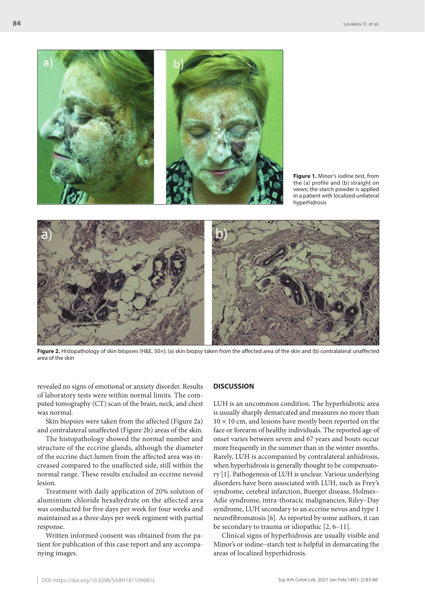

**Figure 1.** Minor's iodine test, from the (a) profile and (b) straight on views; the starch powder is applied in a patient with localized unilateral hyperhidrosis



**Figure 2.** Histopathology of skin biopsies (H&E, 50×); (a) skin biopsy taken from the affected area of the skin and (b) contralateral unaffected area of the skin

revealed no signs of emotional or anxiety disorder. Results of laboratory tests were within normal limits. The computed tomography (CT) scan of the brain, neck, and chest was normal.

Skin biopsies were taken from the affected (Figure 2a) and contralateral unaffected (Figure 2b) areas of the skin.

The histopathology showed the normal number and structure of the eccrine glands, although the diameter of the eccrine duct lumen from the affected area was increased compared to the unaffected side, still within the normal range. These results excluded an eccrine nevoid lesion.

Treatment with daily application of 20% solution of aluminium chloride hexahydrate on the affected area was conducted for five days per week for four weeks and maintained as a three days per week regiment with partial response.

Written informed consent was obtained from the patient for publication of this case report and any accompanying images.

#### **DISCUSSION**

LUH is an uncommon condition. The hyperhidrotic area is usually sharply demarcated and measures no more than  $10 \times 10$  cm, and lesions have mostly been reported on the face or forearm of healthy individuals. The reported age of onset varies between seven and 67 years and bouts occur more frequently in the summer than in the winter months. Rarely, LUH is accompanied by contralateral anhidrosis, when hyperhidrosis is generally thought to be compensatory [1]. Pathogenesis of LUH is unclear. Various underlying disorders have been associated with LUH, such as Frey's syndrome, cerebral infarction, Buerger disease, Holmes– Adie syndrome, intra-thoracic malignancies, Riley–Day syndrome, LUH secondary to an eccrine nevus and type 1 neurofibromatosis [6]. As reported by some authors, it can be secondary to trauma or idiopathic [2, 6–11].

Clinical signs of hyperhidrosis are usually visible and Minor's or iodine–starch test is helpful in demarcating the areas of localized hyperhidrosis.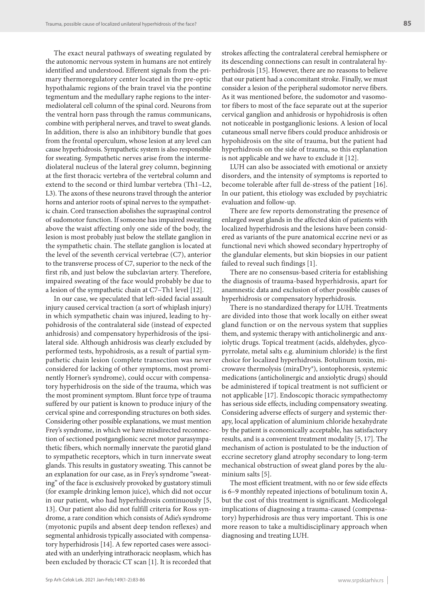The exact neural pathways of sweating regulated by the autonomic nervous system in humans are not entirely identified and understood. Efferent signals from the primary thermoregulatory center located in the pre-optic hypothalamic regions of the brain travel via the pontine tegmentum and the medullary raphe regions to the intermediolateral cell column of the spinal cord. Neurons from the ventral horn pass through the ramus communicans, combine with peripheral nerves, and travel to sweat glands. In addition, there is also an inhibitory bundle that goes from the frontal operculum, whose lesion at any level can cause hyperhidrosis. Sympathetic system is also responsible for sweating. Sympathetic nerves arise from the intermediolateral nucleus of the lateral grey column, beginning at the first thoracic vertebra of the vertebral column and extend to the second or third lumbar vertebra (Th1–L2, L3). The axons of these neurons travel through the anterior horns and anterior roots of spinal nerves to the sympathetic chain. Cord transection abolishes the supraspinal control of sudomotor function. If someone has impaired sweating above the waist affecting only one side of the body, the lesion is most probably just below the stellate ganglion in the sympathetic chain. The stellate ganglion is located at the level of the seventh cervical vertebrae (C7), anterior to the transverse process of C7, superior to the neck of the first rib, and just below the subclavian artery. Therefore, impaired sweating of the face would probably be due to a lesion of the sympathetic chain at C7–Th1 level [12].

In our case, we speculated that left-sided facial assault injury caused cervical traction (a sort of whiplash injury) in which sympathetic chain was injured, leading to hypohidrosis of the contralateral side (instead of expected anhidrosis) and compensatory hyperhidrosis of the ipsilateral side. Although anhidrosis was clearly excluded by performed tests, hypohidrosis, as a result of partial sympathetic chain lesion (complete transection was never considered for lacking of other symptoms, most prominently Horner's syndrome), could occur with compensatory hyperhidrosis on the side of the trauma, which was the most prominent symptom. Blunt force type of trauma suffered by our patient is known to produce injury of the cervical spine and corresponding structures on both sides. Considering other possible explanations, we must mention Frey's syndrome, in which we have misdirected reconnection of sectioned postganglionic secret motor parasympathetic fibers, which normally innervate the parotid gland to sympathetic receptors, which in turn innervate sweat glands. This results in gustatory sweating. This cannot be an explanation for our case, as in Frey's syndrome "sweating" of the face is exclusively provoked by gustatory stimuli (for example drinking lemon juice), which did not occur in our patient, who had hyperhidrosis continuously [5, 13]. Our patient also did not fulfill criteria for Ross syndrome, a rare condition which consists of Adie's syndrome (myotonic pupils and absent deep tendon reflexes) and segmental anhidrosis typically associated with compensatory hyperhidrosis [14]. A few reported cases were associated with an underlying intrathoracic neoplasm, which has been excluded by thoracic CT scan [1]. It is recorded that

strokes affecting the contralateral cerebral hemisphere or its descending connections can result in contralateral hyperhidrosis [15]. However, there are no reasons to believe that our patient had a concomitant stroke. Finally, we must consider a lesion of the peripheral sudomotor nerve fibers. As it was mentioned before, the sudomotor and vasomotor fibers to most of the face separate out at the superior cervical ganglion and anhidrosis or hypohidrosis is often not noticeable in postganglionic lesions. A lesion of local cutaneous small nerve fibers could produce anhidrosis or hypohidrosis on the site of trauma, but the patient had hyperhidrosis on the side of trauma, so this explanation is not applicable and we have to exclude it [12].

LUH can also be associated with emotional or anxiety disorders, and the intensity of symptoms is reported to become tolerable after full de-stress of the patient [16]. In our patient, this etiology was excluded by psychiatric evaluation and follow-up.

There are few reports demonstrating the presence of enlarged sweat glands in the affected skin of patients with localized hyperhidrosis and the lesions have been considered as variants of the pure anatomical eccrine nevi or as functional nevi which showed secondary hypertrophy of the glandular elements, but skin biopsies in our patient failed to reveal such findings [1].

There are no consensus-based criteria for establishing the diagnosis of trauma-based hyperhidrosis, apart for anamnestic data and exclusion of other possible causes of hyperhidrosis or compensatory hyperhidrosis.

There is no standardized therapy for LUH. Treatments are divided into those that work locally on either sweat gland function or on the nervous system that supplies them, and systemic therapy with anticholinergic and anxiolytic drugs. Topical treatment (acids, aldehydes, glycopyrrolate, metal salts e.g. aluminium chloride) is the first choice for localized hyperhidrosis. Botulinum toxin, microwave thermolysis (miraDry®), iontophoresis, systemic medications (anticholinergic and anxiolytic drugs) should be administered if topical treatment is not sufficient or not applicable [17]. Endoscopic thoracic sympathectomy has serious side effects, including compensatory sweating. Considering adverse effects of surgery and systemic therapy, local application of aluminium chloride hexahydrate by the patient is economically acceptable, has satisfactory results, and is a convenient treatment modality [5, 17]. The mechanism of action is postulated to be the induction of eccrine secretory gland atrophy secondary to long-term mechanical obstruction of sweat gland pores by the aluminium salts [5].

The most efficient treatment, with no or few side effects is 6–9 monthly repeated injections of botulinum toxin A, but the cost of this treatment is significant. Medicolegal implications of diagnosing a trauma-caused (compensatory) hyperhidrosis are thus very important. This is one more reason to take a multidisciplinary approach when diagnosing and treating LUH.